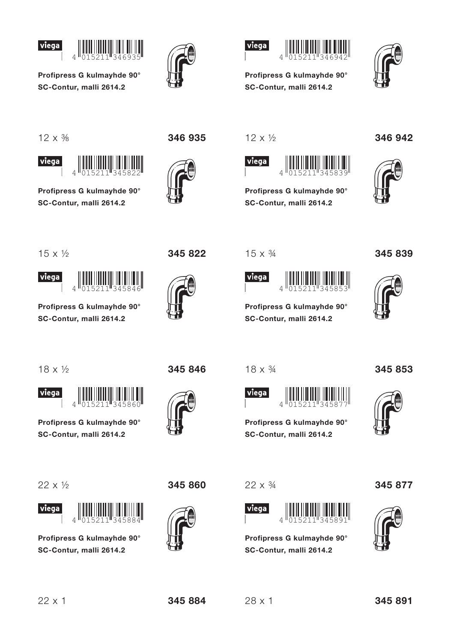



Profipress G kulmayhde 90° SC-Contur, malli 2614.2





Profipress G kulmayhde 90° SC-Contur, malli 2614.2

 $12 \times \frac{3}{8}$ 

viega



Profipress G kulmayhde 90° SC-Contur, malli 2614.2





 $12 \times \frac{1}{2}$ 





Profipress G kulmayhde 90° SC-Contur, malli 2614.2

346 942



 $15 \times \frac{1}{2}$ 





Profipress G kulmayhde 90° SC-Contur, malli 2614.2

345 822

 $15 \times \frac{3}{4}$ 



Profipress G kulmayhde 90° SC-Contur, malli 2614.2



345 839

 $18 \times \frac{1}{2}$ 



Profipress G kulmayhde 90° SC-Contur. malli 2614.2

 $\Delta$ 

 $22 \times 1/2$ 



Profipress G kulmayhde 90° SC-Contur. malli 2614.2

345 846



345 860

 $18 \times \frac{3}{4}$ 

 $22 \times \frac{3}{4}$ 

viega

 $\Delta$ 

Profipress G kulmayhde 90°

SC-Contur. malli 2614.2





345 853

Profipress G kulmayhde 90° SC-Contur, malli 2614.2